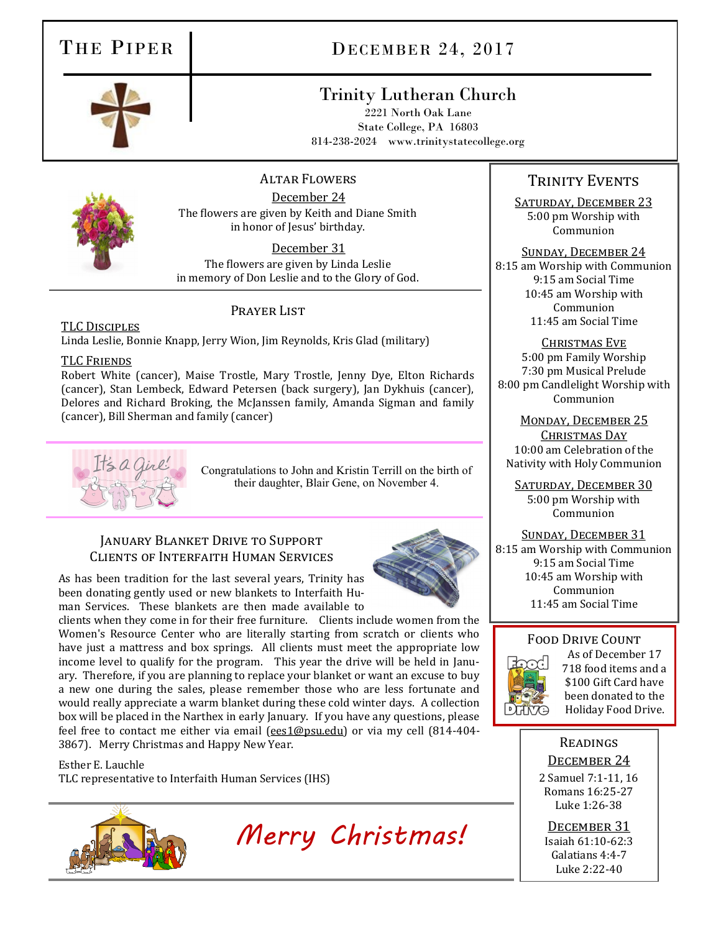# THE PIPER DECEMBER 24, 2017

# Trinity Lutheran Church

2221 North Oak Lane State College, PA 16803 814-238-2024 www.trinitystatecollege.org

#### Altar Flowers

December 24 The flowers are given by Keith and Diane Smith in honor of Jesus' birthday.

December 31

The flowers are given by Linda Leslie in memory of Don Leslie and to the Glory of God.

## Prayer List

TLC Disciples Linda Leslie, Bonnie Knapp, Jerry Wion, Jim Reynolds, Kris Glad (military)

### TLC Friends

Robert White (cancer), Maise Trostle, Mary Trostle, Jenny Dye, Elton Richards (cancer), Stan Lembeck, Edward Petersen (back surgery), Jan Dykhuis (cancer), Delores and Richard Broking, the McJanssen family, Amanda Sigman and family (cancer), Bill Sherman and family (cancer)



Congratulations to John and Kristin Terrill on the birth of their daughter, Blair Gene, on November 4.

## January Blanket Drive to Support Clients of Interfaith Human Services

As has been tradition for the last several years, Trinity has been donating gently used or new blankets to Interfaith Human Services. These blankets are then made available to

clients when they come in for their free furniture. Clients include women from the Women's Resource Center who are literally starting from scratch or clients who have just a mattress and box springs. All clients must meet the appropriate low income level to qualify for the program. This year the drive will be held in January. Therefore, if you are planning to replace your blanket or want an excuse to buy a new one during the sales, please remember those who are less fortunate and would really appreciate a warm blanket during these cold winter days. A collection box will be placed in the Narthex in early January. If you have any questions, please feel free to contact me either via email ([ees1@psu.edu\)](mailto:ees1@psu.edu) or via my cell (814-404-3867). Merry Christmas and Happy New Year.

Esther E. Lauchle

TLC representative to Interfaith Human Services (IHS)



 *Merry Christmas!*

# Trinity Events

SATURDAY, DECEMBER 23 5:00 pm Worship with Communion

Sunday, December 24 8:15 am Worship with Communion 9:15 am Social Time 10:45 am Worship with Communion 11:45 am Social Time

CHRISTMAS EVE 5:00 pm Family Worship 7:30 pm Musical Prelude 8:00 pm Candlelight Worship with Communion

Monday, December 25 Christmas Day 10:00 am Celebration of the Nativity with Holy Communion

SATURDAY, DECEMBER 30 5:00 pm Worship with Communion

Sunday, December 31

8:15 am Worship with Communion 9:15 am Social Time 10:45 am Worship with Communion 11:45 am Social Time

## Food Drive Count



As of December 17 718 food items and a \$100 Gift Card have been donated to the Holiday Food Drive.

## **READINGS**

### DECEMBER 24

2 Samuel 7:1-11, 16 Romans 16:25-27 Luke 1:26-38

December 31 Isaiah 61:10-62:3 Galatians 4:4-7 Luke 2:22-40

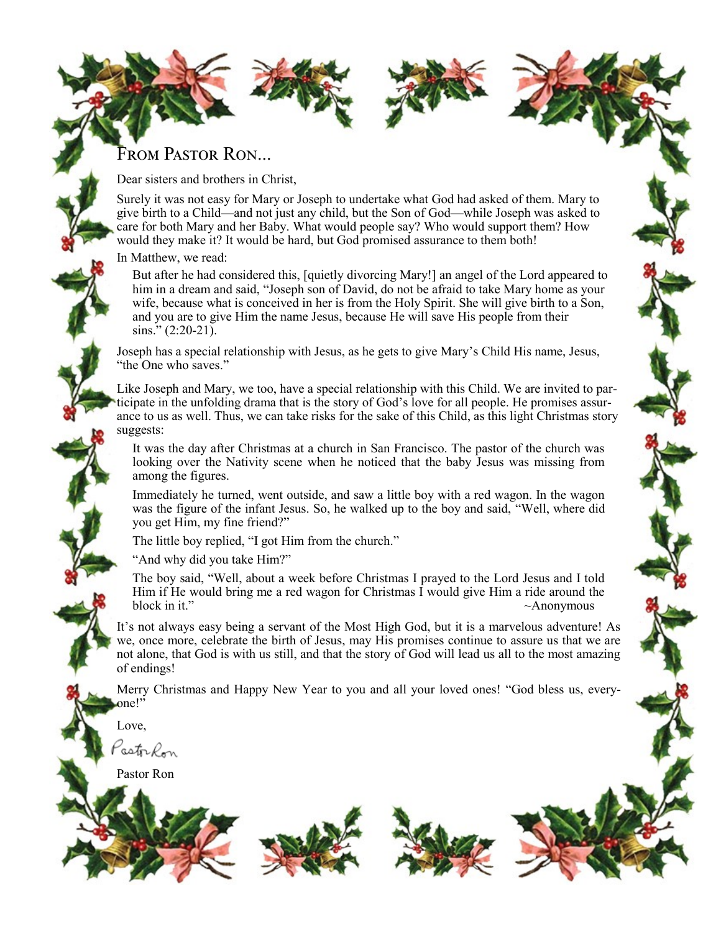# FROM PASTOR RON...

Dear sisters and brothers in Christ,

Surely it was not easy for Mary or Joseph to undertake what God had asked of them. Mary to give birth to a Child—and not just any child, but the Son of God—while Joseph was asked to care for both Mary and her Baby. What would people say? Who would support them? How would they make it? It would be hard, but God promised assurance to them both!

In Matthew, we read:

But after he had considered this, [quietly divorcing Mary!] an angel of the Lord appeared to him in a dream and said, "Joseph son of David, do not be afraid to take Mary home as your wife, because what is conceived in her is from the Holy Spirit. She will give birth to a Son, and you are to give Him the name Jesus, because He will save His people from their  $\sin s$ ." (2:20-21).

Joseph has a special relationship with Jesus, as he gets to give Mary's Child His name, Jesus, "the One who saves."

Like Joseph and Mary, we too, have a special relationship with this Child. We are invited to participate in the unfolding drama that is the story of God's love for all people. He promises assurance to us as well. Thus, we can take risks for the sake of this Child, as this light Christmas story suggests:

It was the day after Christmas at a church in San Francisco. The pastor of the church was looking over the Nativity scene when he noticed that the baby Jesus was missing from among the figures.

Immediately he turned, went outside, and saw a little boy with a red wagon. In the wagon was the figure of the infant Jesus. So, he walked up to the boy and said, "Well, where did you get Him, my fine friend?"

The little boy replied, "I got Him from the church."

"And why did you take Him?"

The boy said, "Well, about a week before Christmas I prayed to the Lord Jesus and I told Him if He would bring me a red wagon for Christmas  $\hat{I}$  would give Him a ride around the block in it."  $~\sim$ Anonymous

It's not always easy being a servant of the Most High God, but it is a marvelous adventure! As we, once more, celebrate the birth of Jesus, may His promises continue to assure us that we are not alone, that God is with us still, and that the story of God will lead us all to the most amazing of endings!

Merry Christmas and Happy New Year to you and all your loved ones! "God bless us, everyone!"

Love,

astr *Ro*n

Pastor Ron